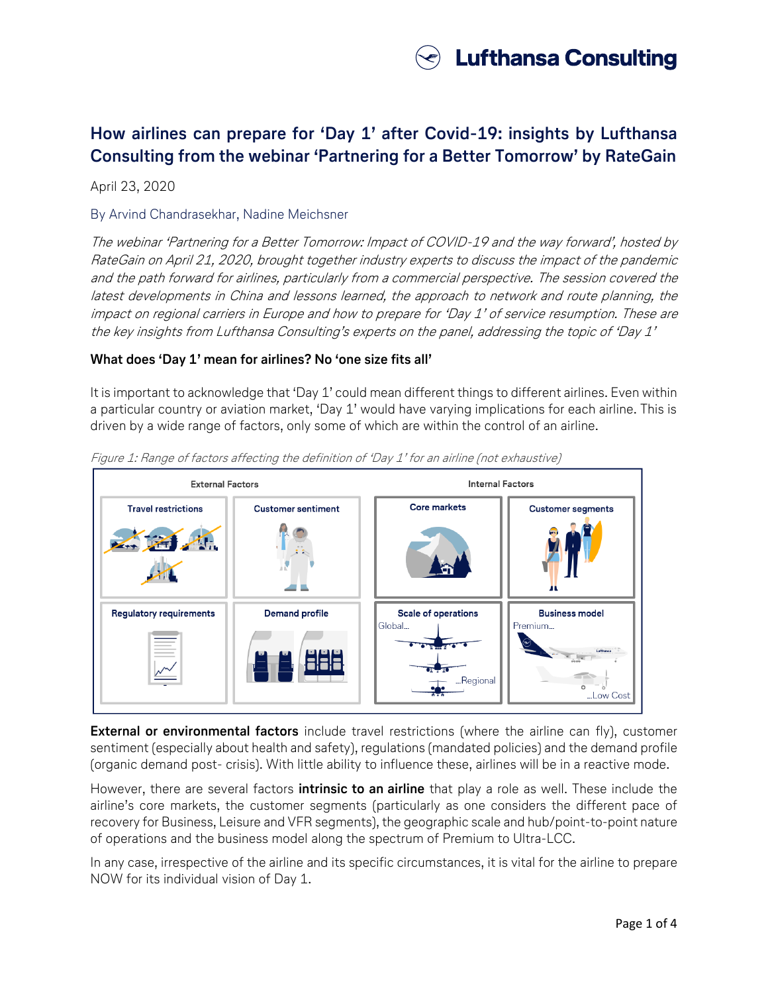

# **How airlines can prepare for 'Day 1' after Covid-19: insights by Lufthansa Consulting from the webinar 'Partnering for a Better Tomorrow' by RateGain**

April 23, 2020

## By Arvind Chandrasekhar, Nadine Meichsner

The webinar 'Partnering for a Better Tomorrow: Impact of COVID-19 and the way forward', hosted by RateGain on April 21, 2020, brought together industry experts to discuss the impact of the pandemic and the path forward for airlines, particularly from a commercial perspective. The session covered the latest developments in China and lessons learned, the approach to network and route planning, the impact on regional carriers in Europe and how to prepare for 'Day 1' of service resumption. These are the key insights from Lufthansa Consulting's experts on the panel, addressing the topic of 'Day 1'

## **What does 'Day 1' mean for airlines? No 'one size fits all'**

It is important to acknowledge that 'Day 1' could mean different things to different airlines. Even within a particular country or aviation market, 'Day 1' would have varying implications for each airline. This is driven by a wide range of factors, only some of which are within the control of an airline.



Figure 1: Range of factors affecting the definition of 'Day 1' for an airline (not exhaustive)

**External or environmental factors** include travel restrictions (where the airline can fly), customer sentiment (especially about health and safety), regulations (mandated policies) and the demand profile (organic demand post- crisis). With little ability to influence these, airlines will be in a reactive mode.

However, there are several factors **intrinsic to an airline** that play a role as well. These include the airline's core markets, the customer segments (particularly as one considers the different pace of recovery for Business, Leisure and VFR segments), the geographic scale and hub/point-to-point nature of operations and the business model along the spectrum of Premium to Ultra-LCC.

In any case, irrespective of the airline and its specific circumstances, it is vital for the airline to prepare NOW for its individual vision of Day 1.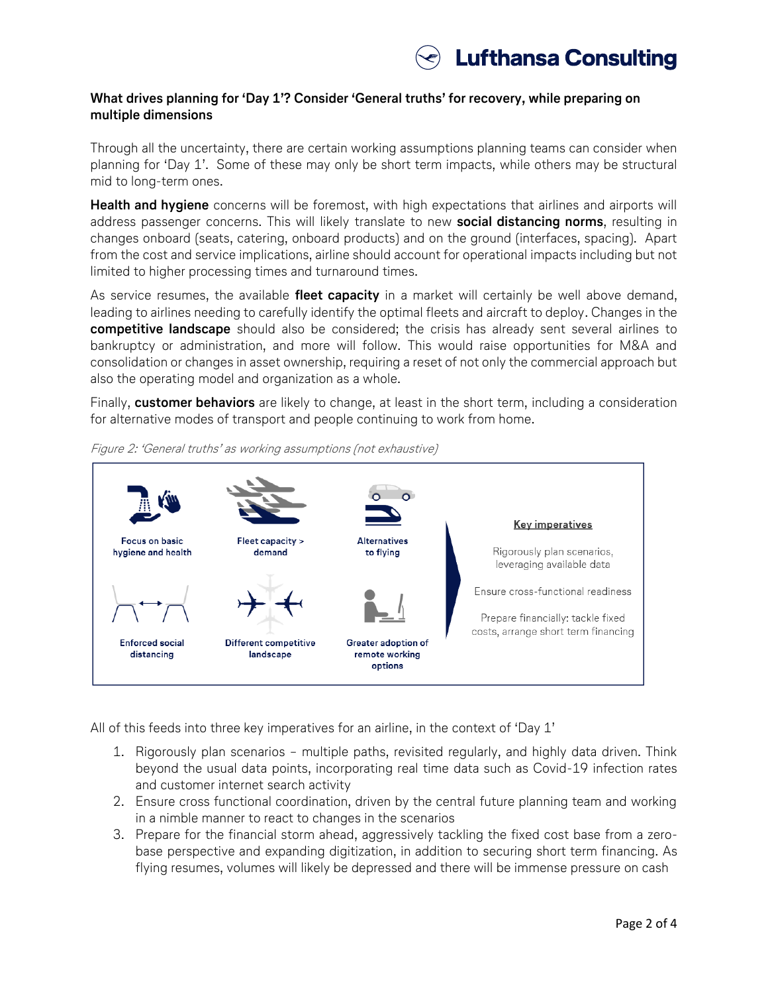## **What drives planning for 'Day 1'? Consider 'General truths' for recovery, while preparing on multiple dimensions**

Through all the uncertainty, there are certain working assumptions planning teams can consider when planning for 'Day 1'. Some of these may only be short term impacts, while others may be structural mid to long-term ones.

**Health and hygiene** concerns will be foremost, with high expectations that airlines and airports will address passenger concerns. This will likely translate to new **social distancing norms**, resulting in changes onboard (seats, catering, onboard products) and on the ground (interfaces, spacing). Apart from the cost and service implications, airline should account for operational impacts including but not limited to higher processing times and turnaround times.

As service resumes, the available **fleet capacity** in a market will certainly be well above demand, leading to airlines needing to carefully identify the optimal fleets and aircraft to deploy. Changes in the **competitive landscape** should also be considered; the crisis has already sent several airlines to bankruptcy or administration, and more will follow. This would raise opportunities for M&A and consolidation or changes in asset ownership, requiring a reset of not only the commercial approach but also the operating model and organization as a whole.

Finally, **customer behaviors** are likely to change, at least in the short term, including a consideration for alternative modes of transport and people continuing to work from home.



Figure 2: 'General truths' as working assumptions (not exhaustive)

All of this feeds into three key imperatives for an airline, in the context of 'Day 1'

- 1. Rigorously plan scenarios multiple paths, revisited regularly, and highly data driven. Think beyond the usual data points, incorporating real time data such as Covid-19 infection rates and customer internet search activity
- 2. Ensure cross functional coordination, driven by the central future planning team and working in a nimble manner to react to changes in the scenarios
- 3. Prepare for the financial storm ahead, aggressively tackling the fixed cost base from a zerobase perspective and expanding digitization, in addition to securing short term financing. As flying resumes, volumes will likely be depressed and there will be immense pressure on cash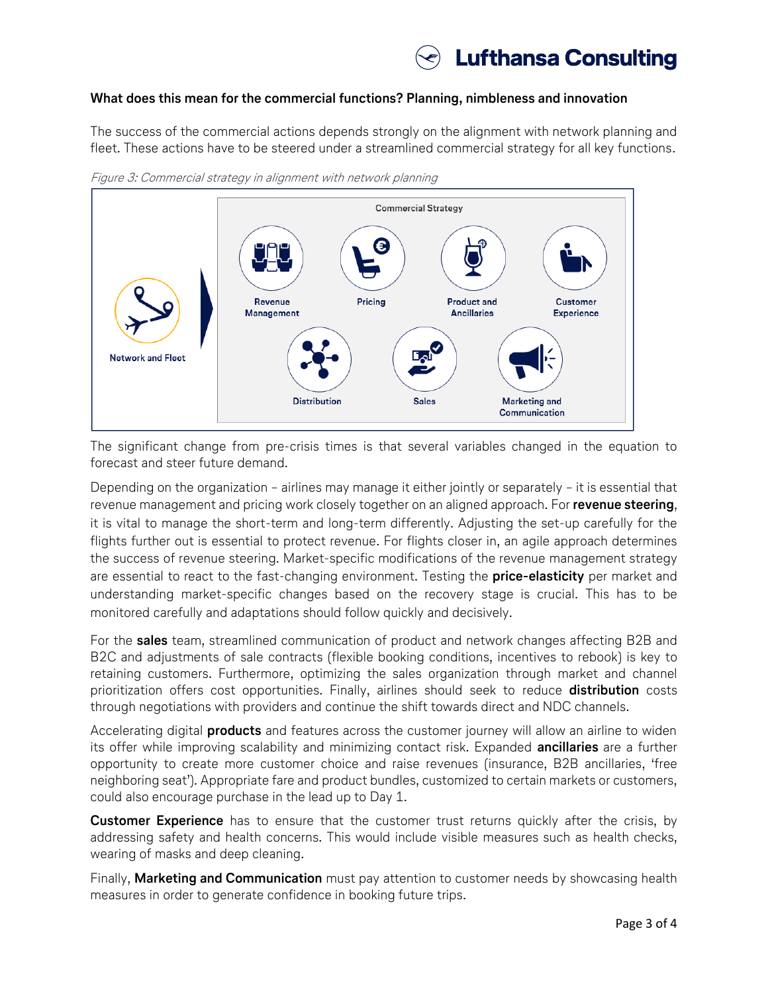

## **What does this mean for the commercial functions? Planning, nimbleness and innovation**

The success of the commercial actions depends strongly on the alignment with network planning and fleet. These actions have to be steered under a streamlined commercial strategy for all key functions.



Figure 3: Commercial strategy in alignment with network planning

The significant change from pre-crisis times is that several variables changed in the equation to forecast and steer future demand.

Depending on the organization – airlines may manage it either jointly or separately – it is essential that revenue management and pricing work closely together on an aligned approach. For **revenue steering**, it is vital to manage the short-term and long-term differently. Adjusting the set-up carefully for the flights further out is essential to protect revenue. For flights closer in, an agile approach determines the success of revenue steering. Market-specific modifications of the revenue management strategy are essential to react to the fast-changing environment. Testing the **price-elasticity** per market and understanding market-specific changes based on the recovery stage is crucial. This has to be monitored carefully and adaptations should follow quickly and decisively.

For the **sales** team, streamlined communication of product and network changes affecting B2B and B2C and adjustments of sale contracts (flexible booking conditions, incentives to rebook) is key to retaining customers. Furthermore, optimizing the sales organization through market and channel prioritization offers cost opportunities. Finally, airlines should seek to reduce **distribution** costs through negotiations with providers and continue the shift towards direct and NDC channels.

Accelerating digital **products** and features across the customer journey will allow an airline to widen its offer while improving scalability and minimizing contact risk. Expanded **ancillaries** are a further opportunity to create more customer choice and raise revenues (insurance, B2B ancillaries, 'free neighboring seat'). Appropriate fare and product bundles, customized to certain markets or customers, could also encourage purchase in the lead up to Day 1.

**Customer Experience** has to ensure that the customer trust returns quickly after the crisis, by addressing safety and health concerns. This would include visible measures such as health checks, wearing of masks and deep cleaning.

Finally, **Marketing and Communication** must pay attention to customer needs by showcasing health measures in order to generate confidence in booking future trips.